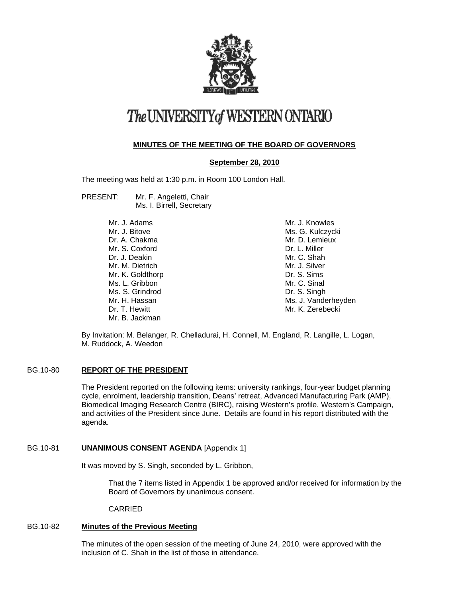

# The UNIVERSITY of WESTERN ONTARIO

# **MINUTES OF THE MEETING OF THE BOARD OF GOVERNORS**

## **September 28, 2010**

The meeting was held at 1:30 p.m. in Room 100 London Hall.

PRESENT: Mr. F. Angeletti, Chair Ms. I. Birrell, Secretary

| Mr. J. Adams     | Mr. J. Knowles      |
|------------------|---------------------|
| Mr. J. Bitove    | Ms. G. Kulczycki    |
| Dr. A. Chakma    | Mr. D. Lemieux      |
| Mr. S. Coxford   | Dr. L. Miller       |
| Dr. J. Deakin    | Mr. C. Shah         |
| Mr. M. Dietrich  | Mr. J. Silver       |
| Mr. K. Goldthorp | Dr. S. Sims         |
| Ms. L. Gribbon   | Mr. C. Sinal        |
| Ms. S. Grindrod  | Dr. S. Singh        |
| Mr. H. Hassan    | Ms. J. Vanderheyden |
| Dr. T. Hewitt    | Mr. K. Zerebecki    |
| Mr. B. Jackman   |                     |
|                  |                     |

By Invitation: M. Belanger, R. Chelladurai, H. Connell, M. England, R. Langille, L. Logan, M. Ruddock, A. Weedon

## BG.10-80 **REPORT OF THE PRESIDENT**

The President reported on the following items: university rankings, four-year budget planning cycle, enrolment, leadership transition, Deans' retreat, Advanced Manufacturing Park (AMP), Biomedical Imaging Research Centre (BIRC), raising Western's profile, Western's Campaign, and activities of the President since June. Details are found in his report distributed with the agenda.

#### BG.10-81 **UNANIMOUS CONSENT AGENDA** [Appendix 1]

It was moved by S. Singh, seconded by L. Gribbon,

That the 7 items listed in Appendix 1 be approved and/or received for information by the Board of Governors by unanimous consent.

CARRIED

## BG.10-82 **Minutes of the Previous Meeting**

The minutes of the open session of the meeting of June 24, 2010, were approved with the inclusion of C. Shah in the list of those in attendance.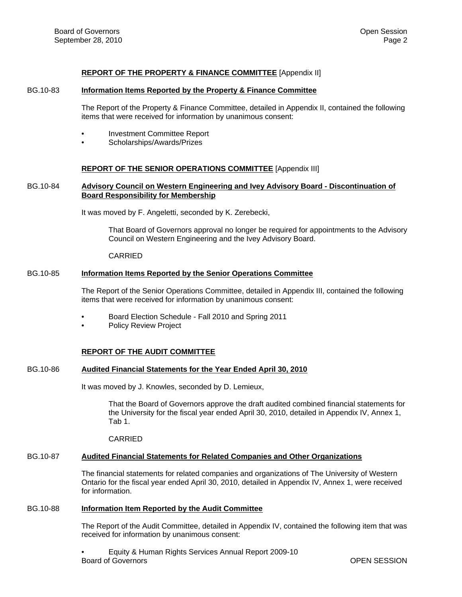#### **REPORT OF THE PROPERTY & FINANCE COMMITTEE** [Appendix II]

#### BG.10-83 **Information Items Reported by the Property & Finance Committee**

The Report of the Property & Finance Committee, detailed in Appendix II, contained the following items that were received for information by unanimous consent:

- Investment Committee Report
- Scholarships/Awards/Prizes

#### **REPORT OF THE SENIOR OPERATIONS COMMITTEE** [Appendix III]

## BG.10-84 **Advisory Council on Western Engineering and Ivey Advisory Board - Discontinuation of Board Responsibility for Membership**

It was moved by F. Angeletti, seconded by K. Zerebecki,

That Board of Governors approval no longer be required for appointments to the Advisory Council on Western Engineering and the Ivey Advisory Board.

CARRIED

#### BG.10-85 **Information Items Reported by the Senior Operations Committee**

The Report of the Senior Operations Committee, detailed in Appendix III, contained the following items that were received for information by unanimous consent:

- Board Election Schedule Fall 2010 and Spring 2011
- Policy Review Project

#### **REPORT OF THE AUDIT COMMITTEE**

#### BG.10-86 **Audited Financial Statements for the Year Ended April 30, 2010**

It was moved by J. Knowles, seconded by D. Lemieux,

That the Board of Governors approve the draft audited combined financial statements for the University for the fiscal year ended April 30, 2010, detailed in Appendix IV, Annex 1, Tab 1.

CARRIED

#### BG.10-87 **Audited Financial Statements for Related Companies and Other Organizations**

The financial statements for related companies and organizations of The University of Western Ontario for the fiscal year ended April 30, 2010, detailed in Appendix IV, Annex 1, were received for information.

#### BG.10-88 **Information Item Reported by the Audit Committee**

The Report of the Audit Committee, detailed in Appendix IV, contained the following item that was received for information by unanimous consent:

• Equity & Human Rights Services Annual Report 2009-10 **Board of Governors COVER SESSION**